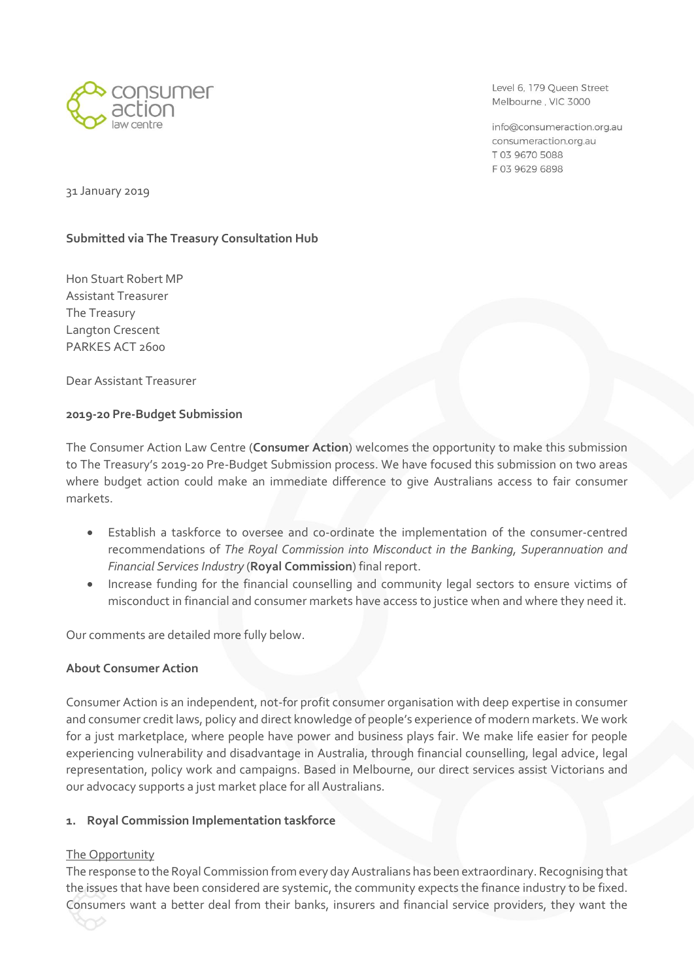

Level 6, 179 Oueen Street Melbourne, VIC 3000

info@consumeraction.org.au consumeraction.org.au T 03 9670 5088 F0396296898

31 January 2019

# **Submitted via The Treasury Consultation Hub**

Hon Stuart Robert MP Assistant Treasurer The Treasury Langton Crescent PARKES ACT 2600

Dear Assistant Treasurer

### **2019-20 Pre-Budget Submission**

The Consumer Action Law Centre (**Consumer Action**) welcomes the opportunity to make this submission to The Treasury's 2019-20 Pre-Budget Submission process. We have focused this submission on two areas where budget action could make an immediate difference to give Australians access to fair consumer markets.

- Establish a taskforce to oversee and co-ordinate the implementation of the consumer-centred recommendations of *The Royal Commission into Misconduct in the Banking, Superannuation and Financial Services Industry* (**Royal Commission**) final report.
- Increase funding for the financial counselling and community legal sectors to ensure victims of misconduct in financial and consumer markets have access to justice when and where they need it.

Our comments are detailed more fully below.

## **About Consumer Action**

Consumer Action is an independent, not-for profit consumer organisation with deep expertise in consumer and consumer credit laws, policy and direct knowledge of people's experience of modern markets. We work for a just marketplace, where people have power and business plays fair. We make life easier for people experiencing vulnerability and disadvantage in Australia, through financial counselling, legal advice, legal representation, policy work and campaigns. Based in Melbourne, our direct services assist Victorians and our advocacy supports a just market place for all Australians.

## **1. Royal Commission Implementation taskforce**

## The Opportunity

The response to the Royal Commission from every day Australians has been extraordinary. Recognising that the issues that have been considered are systemic, the community expects the finance industry to be fixed. Consumers want a better deal from their banks, insurers and financial service providers, they want the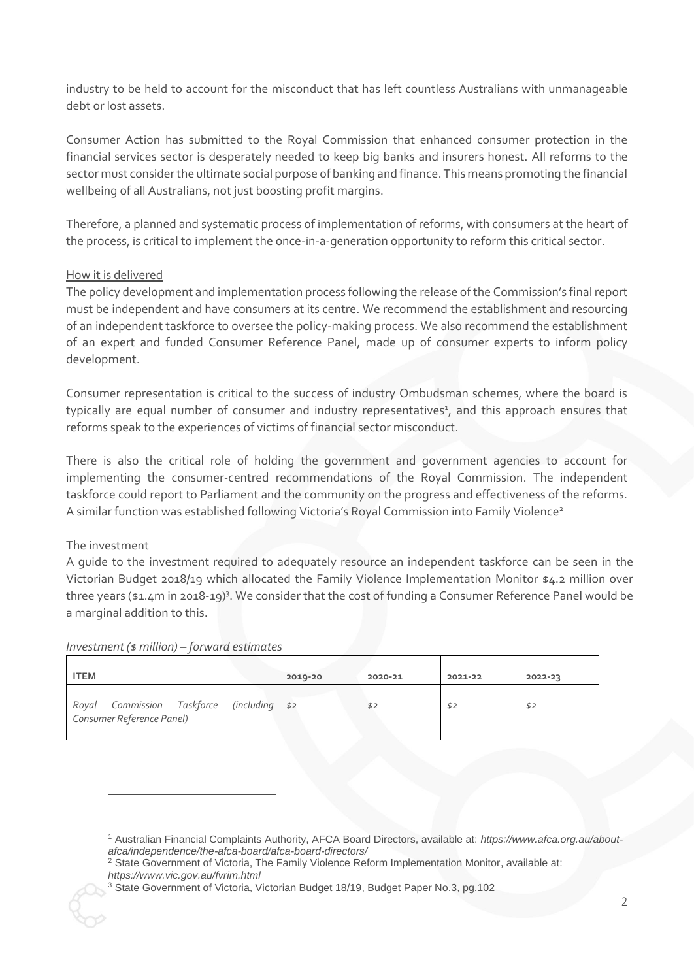industry to be held to account for the misconduct that has left countless Australians with unmanageable debt or lost assets.

Consumer Action has submitted to the Royal Commission that enhanced consumer protection in the financial services sector is desperately needed to keep big banks and insurers honest. All reforms to the sector must consider the ultimate social purpose of banking and finance. This means promoting the financial wellbeing of all Australians, not just boosting profit margins.

Therefore, a planned and systematic process of implementation of reforms, with consumers at the heart of the process, is critical to implement the once-in-a-generation opportunity to reform this critical sector.

## How it is delivered

The policy development and implementation process following the release of the Commission's final report must be independent and have consumers at its centre. We recommend the establishment and resourcing of an independent taskforce to oversee the policy-making process. We also recommend the establishment of an expert and funded Consumer Reference Panel, made up of consumer experts to inform policy development.

Consumer representation is critical to the success of industry Ombudsman schemes, where the board is typically are equal number of consumer and industry representatives<sup>1</sup>, and this approach ensures that reforms speak to the experiences of victims of financial sector misconduct.

There is also the critical role of holding the government and government agencies to account for implementing the consumer-centred recommendations of the Royal Commission. The independent taskforce could report to Parliament and the community on the progress and effectiveness of the reforms. A similar function was established following Victoria's Royal Commission into Family Violence<sup>2</sup>

## The investment

-

A guide to the investment required to adequately resource an independent taskforce can be seen in the Victorian Budget 2018/19 which allocated the Family Violence Implementation Monitor \$4.2 million over three years (\$1.4m in 2018-19)<sup>3</sup>. We consider that the cost of funding a Consumer Reference Panel would be a marginal addition to this.

#### *Investment (\$ million) – forward estimates*

| <b>ITEM</b>                                                                    | 2019-20 | 2020-21 | 2021-22 | 2022-23 |
|--------------------------------------------------------------------------------|---------|---------|---------|---------|
| Commission Taskforce<br>$(including$ \$2<br>Royal<br>Consumer Reference Panel) |         | \$2     | \$2     | \$2     |

<sup>1</sup> Australian Financial Complaints Authority, AFCA Board Directors, available at: *https://www.afca.org.au/aboutafca/independence/the-afca-board/afca-board-directors/*

<sup>&</sup>lt;sup>2</sup> State Government of Victoria, The Family Violence Reform Implementation Monitor, available at: *https://www.vic.gov.au/fvrim.html*

<sup>&</sup>lt;sup>3</sup> State Government of Victoria, Victorian Budget 18/19, Budget Paper No.3, pg.102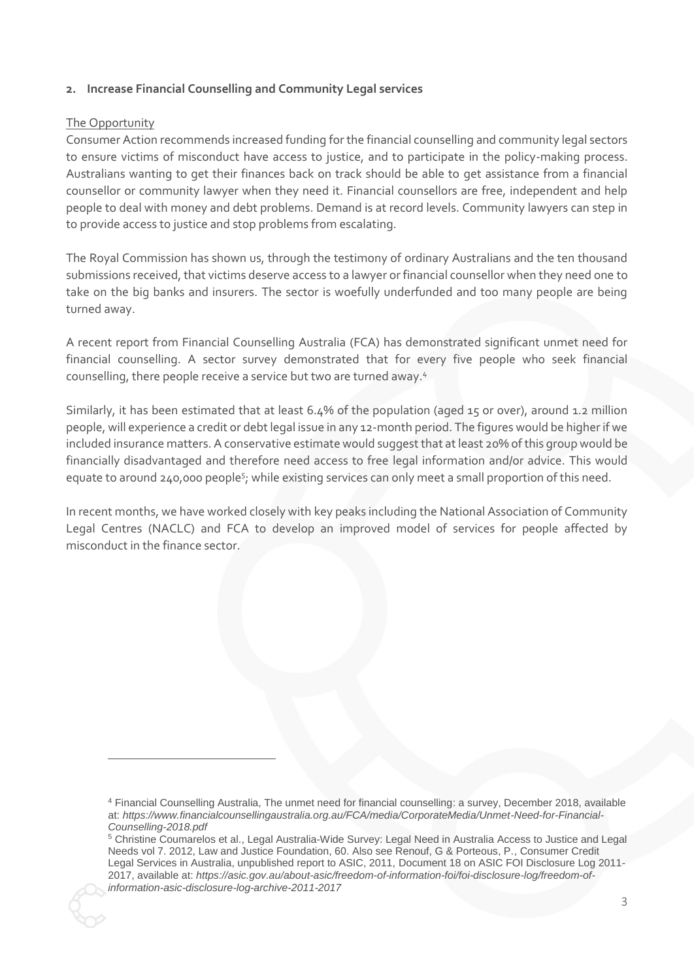## **2. Increase Financial Counselling and Community Legal services**

#### The Opportunity

 $\overline{a}$ 

Consumer Action recommends increased funding for the financial counselling and community legal sectors to ensure victims of misconduct have access to justice, and to participate in the policy-making process. Australians wanting to get their finances back on track should be able to get assistance from a financial counsellor or community lawyer when they need it. Financial counsellors are free, independent and help people to deal with money and debt problems. Demand is at record levels. Community lawyers can step in to provide access to justice and stop problems from escalating.

The Royal Commission has shown us, through the testimony of ordinary Australians and the ten thousand submissions received, that victims deserve access to a lawyer or financial counsellor when they need one to take on the big banks and insurers. The sector is woefully underfunded and too many people are being turned away.

A recent report from Financial Counselling Australia (FCA) has demonstrated significant unmet need for financial counselling. A sector survey demonstrated that for every five people who seek financial counselling, there people receive a service but two are turned away. 4

Similarly, it has been estimated that at least 6.4% of the population (aged 15 or over), around 1.2 million people, will experience a credit or debt legal issue in any 12-month period. The figures would be higher if we included insurance matters. A conservative estimate would suggest that at least 20% of this group would be financially disadvantaged and therefore need access to free legal information and/or advice. This would equate to around 240,000 people<sup>5</sup>; while existing services can only meet a small proportion of this need.

In recent months, we have worked closely with key peaks including the National Association of Community Legal Centres (NACLC) and FCA to develop an improved model of services for people affected by misconduct in the finance sector.

<sup>4</sup> Financial Counselling Australia, The unmet need for financial counselling: a survey, December 2018, available at: *https://www.financialcounsellingaustralia.org.au/FCA/media/CorporateMedia/Unmet-Need-for-Financial-Counselling-2018.pdf*

<sup>5</sup> Christine Coumarelos et al., Legal Australia-Wide Survey: Legal Need in Australia Access to Justice and Legal Needs vol 7. 2012, Law and Justice Foundation, 60. Also see Renouf, G & Porteous, P., Consumer Credit Legal Services in Australia, unpublished report to ASIC, 2011, Document 18 on ASIC FOI Disclosure Log 2011- 2017, available at: *https://asic.gov.au/about-asic/freedom-of-information-foi/foi-disclosure-log/freedom-ofinformation-asic-disclosure-log-archive-2011-2017*